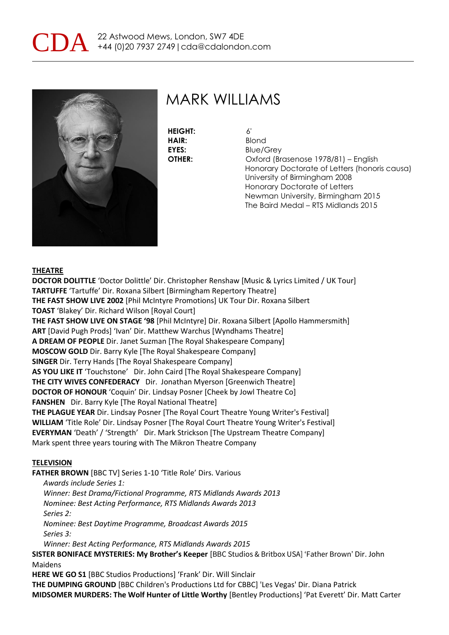



**HEIGHT:** 6' **HAIR:** Blond

**EYES:** Blue/Grey **OTHER:** Oxford (Brasenose 1978/81) – English Honorary Doctorate of Letters (honoris causa) University of Birmingham 2008 Honorary Doctorate of Letters Newman University, Birmingham 2015 The Baird Medal – RTS Midlands 2015

#### **THEATRE**

**DOCTOR DOLITTLE** 'Doctor Dolittle' Dir. Christopher Renshaw [Music & Lyrics Limited / UK Tour] **TARTUFFE** 'Tartuffe' Dir. Roxana Silbert [Birmingham Repertory Theatre] **THE FAST SHOW LIVE 2002** [Phil McIntyre Promotions] UK Tour Dir. Roxana Silbert **TOAST** 'Blakey' Dir. Richard Wilson [Royal Court] **THE FAST SHOW LIVE ON STAGE '98** [Phil McIntyre] Dir. Roxana Silbert [Apollo Hammersmith] **ART** [David Pugh Prods] 'Ivan' Dir. Matthew Warchus [Wyndhams Theatre] **A DREAM OF PEOPLE** Dir. Janet Suzman [The Royal Shakespeare Company] **MOSCOW GOLD** Dir. Barry Kyle [The Royal Shakespeare Company] **SINGER** Dir. Terry Hands [The Royal Shakespeare Company] **AS YOU LIKE IT** 'Touchstone' Dir. John Caird [The Royal Shakespeare Company] **THE CITY WIVES CONFEDERACY** Dir. Jonathan Myerson [Greenwich Theatre] **DOCTOR OF HONOUR** 'Coquin' Dir. Lindsay Posner [Cheek by Jowl Theatre Co] **FANSHEN** Dir. Barry Kyle [The Royal National Theatre] **THE PLAGUE YEAR** Dir. Lindsay Posner [The Royal Court Theatre Young Writer's Festival] **WILLIAM** 'Title Role' Dir. Lindsay Posner [The Royal Court Theatre Young Writer's Festival] **EVERYMAN** 'Death' / 'Strength' Dir. Mark Strickson [The Upstream Theatre Company] Mark spent three years touring with The Mikron Theatre Company

#### **TELEVISION**

**FATHER BROWN** [BBC TV] Series 1-10 'Title Role' Dirs. Various

 *Awards include Series 1:*

 *Winner: Best Drama/Fictional Programme, RTS Midlands Awards 2013*

 *Nominee: Best Acting Performance, RTS Midlands Awards 2013 Series 2:*

 *Nominee: Best Daytime Programme, Broadcast Awards 2015 Series 3:*

 *Winner: Best Acting Performance, RTS Midlands Awards 2015*

**SISTER BONIFACE MYSTERIES: My Brother's Keeper** [BBC Studios & Britbox USA] 'Father Brown' Dir. John Maidens

**HERE WE GO S1** [BBC Studios Productions] 'Frank' Dir. Will Sinclair

**THE DUMPING GROUND** [BBC Children's Productions Ltd for CBBC] 'Les Vegas' Dir. Diana Patrick **MIDSOMER MURDERS: The Wolf Hunter of Little Worthy** [Bentley Productions] 'Pat Everett' Dir. Matt Carter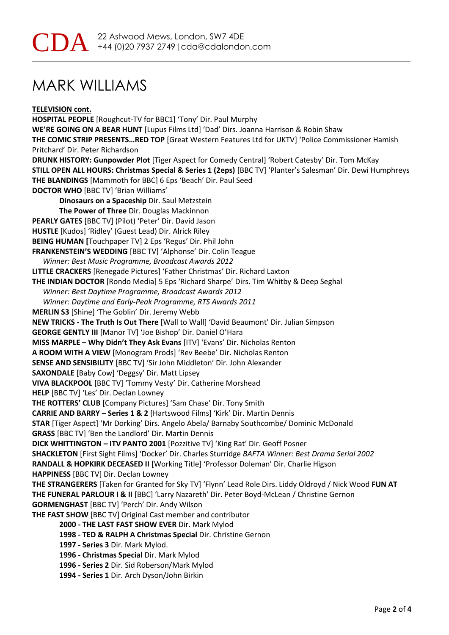**TELEVISION cont.**

**HOSPITAL PEOPLE** [Roughcut-TV for BBC1] 'Tony' Dir. Paul Murphy **WE'RE GOING ON A BEAR HUNT** [Lupus Films Ltd] 'Dad' Dirs. Joanna Harrison & Robin Shaw **THE COMIC STRIP PRESENTS…RED TOP** [Great Western Features Ltd for UKTV] 'Police Commissioner Hamish Pritchard' Dir. Peter Richardson **DRUNK HISTORY: Gunpowder Plot** [Tiger Aspect for Comedy Central] 'Robert Catesby' Dir. Tom McKay **STILL OPEN ALL HOURS: Christmas Special & Series 1 (2eps)** [BBC TV] 'Planter's Salesman' Dir. Dewi Humphreys **THE BLANDINGS** [Mammoth for BBC] 6 Eps 'Beach' Dir. Paul Seed **DOCTOR WHO** [BBC TV] 'Brian Williams' **Dinosaurs on a Spaceship** Dir. Saul Metzstein **The Power of Three** Dir. Douglas Mackinnon **PEARLY GATES** [BBC TV] (Pilot) 'Peter' Dir. David Jason **HUSTLE** [Kudos] 'Ridley' (Guest Lead) Dir. Alrick Riley **BEING HUMAN [**Touchpaper TV] 2 Eps 'Regus' Dir. Phil John **FRANKENSTEIN'S WEDDING** [BBC TV] 'Alphonse' Dir. Colin Teague *Winner: Best Music Programme, Broadcast Awards 2012* **LITTLE CRACKERS** [Renegade Pictures] 'Father Christmas' Dir. Richard Laxton **THE INDIAN DOCTOR** [Rondo Media] 5 Eps 'Richard Sharpe' Dirs. Tim Whitby & Deep Seghal *Winner: Best Daytime Programme, Broadcast Awards 2012 Winner: Daytime and Early-Peak Programme, RTS Awards 2011* **MERLIN S3** [Shine] 'The Goblin' Dir. Jeremy Webb **NEW TRICKS - The Truth Is Out There** [Wall to Wall] 'David Beaumont' Dir. Julian Simpson **GEORGE GENTLY III** [Manor TV] 'Joe Bishop' Dir. Daniel O'Hara **MISS MARPLE – Why Didn't They Ask Evans** [ITV] 'Evans' Dir. Nicholas Renton **A ROOM WITH A VIEW** [Monogram Prods] 'Rev Beebe' Dir. Nicholas Renton **SENSE AND SENSIBILITY** [BBC TV] 'Sir John Middleton' Dir. John Alexander **SAXONDALE** [Baby Cow] 'Deggsy' Dir. Matt Lipsey **VIVA BLACKPOOL** [BBC TV] 'Tommy Vesty' Dir. Catherine Morshead **HELP** [BBC TV] 'Les' Dir. Declan Lowney **THE ROTTERS' CLUB** [Company Pictures] 'Sam Chase' Dir. Tony Smith **CARRIE AND BARRY – Series 1 & 2** [Hartswood Films] 'Kirk' Dir. Martin Dennis **STAR** [Tiger Aspect] 'Mr Dorking' Dirs. Angelo Abela/ Barnaby Southcombe/ Dominic McDonald **GRASS** [BBC TV] 'Ben the Landlord' Dir. Martin Dennis **DICK WHITTINGTON – ITV PANTO 2001** [Pozzitive TV] 'King Rat' Dir. Geoff Posner **SHACKLETON** [First Sight Films] 'Docker' Dir. Charles Sturridge *BAFTA Winner: Best Drama Serial 2002* **RANDALL & HOPKIRK DECEASED II** [Working Title] 'Professor Doleman' Dir. Charlie Higson **HAPPINESS** [BBC TV] Dir. Declan Lowney **THE STRANGERERS** [Taken for Granted for Sky TV] 'Flynn' Lead Role Dirs. Liddy Oldroyd / Nick Wood **FUN AT THE FUNERAL PARLOUR I & II** [BBC] 'Larry Nazareth' Dir. Peter Boyd-McLean / Christine Gernon **GORMENGHAST** [BBC TV] 'Perch' Dir. Andy Wilson **THE FAST SHOW** [BBC TV] Original Cast member and contributor **2000 - THE LAST FAST SHOW EVER** Dir. Mark Mylod **1998 - TED & RALPH A Christmas Special** Dir. Christine Gernon **1997 - Series 3** Dir. Mark Mylod. **1996 - Christmas Special** Dir. Mark Mylod **1996 - Series 2** Dir. Sid Roberson/Mark Mylod

**1994 - Series 1** Dir. Arch Dyson/John Birkin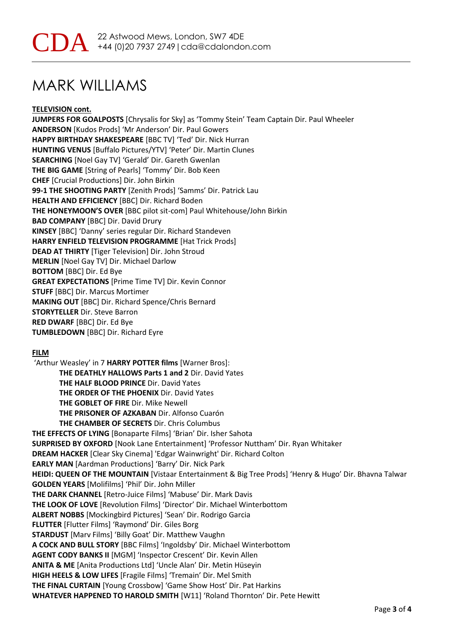### **TELEVISION cont.**

**JUMPERS FOR GOALPOSTS** [Chrysalis for Sky] as 'Tommy Stein' Team Captain Dir. Paul Wheeler **ANDERSON** [Kudos Prods] 'Mr Anderson' Dir. Paul Gowers **HAPPY BIRTHDAY SHAKESPEARE** [BBC TV] 'Ted' Dir. Nick Hurran **HUNTING VENUS** [Buffalo Pictures/YTV] 'Peter' Dir. Martin Clunes **SEARCHING** [Noel Gay TV] 'Gerald' Dir. Gareth Gwenlan **THE BIG GAME** [String of Pearls] 'Tommy' Dir. Bob Keen **CHEF** [Crucial Productions] Dir. John Birkin **99-1 THE SHOOTING PARTY** [Zenith Prods] 'Samms' Dir. Patrick Lau **HEALTH AND EFFICIENCY** [BBC] Dir. Richard Boden **THE HONEYMOON'S OVER** [BBC pilot sit-com] Paul Whitehouse/John Birkin **BAD COMPANY** [BBC] Dir. David Drury **KINSEY** [BBC] 'Danny' series regular Dir. Richard Standeven **HARRY ENFIELD TELEVISION PROGRAMME** [Hat Trick Prods] **DEAD AT THIRTY** [Tiger Television] Dir. John Stroud **MERLIN** [Noel Gay TV] Dir. Michael Darlow **BOTTOM** [BBC] Dir. Ed Bye **GREAT EXPECTATIONS** [Prime Time TV] Dir. Kevin Connor **STUFF** [BBC] Dir. Marcus Mortimer **MAKING OUT** [BBC] Dir. Richard Spence/Chris Bernard **STORYTELLER** Dir. Steve Barron **RED DWARF** [BBC] Dir. Ed Bye **TUMBLEDOWN** [BBC] Dir. Richard Eyre

### **FILM**

'Arthur Weasley' in 7 **HARRY POTTER films** [Warner Bros]: **THE DEATHLY HALLOWS Parts 1 and 2** Dir. David Yates **THE HALF BLOOD PRINCE** Dir. David Yates **THE ORDER OF THE PHOENIX** Dir. David Yates **THE GOBLET OF FIRE** Dir. Mike Newell **THE PRISONER OF AZKABAN** Dir. Alfonso Cuarón **THE CHAMBER OF SECRETS** Dir. Chris Columbus **THE EFFECTS OF LYING** [Bonaparte Films] 'Brian' Dir. Isher Sahota **SURPRISED BY OXFORD** [Nook Lane Entertainment] 'Professor Nuttham' Dir. Ryan Whitaker **DREAM HACKER** [Clear Sky Cinema] 'Edgar Wainwright' Dir. Richard Colton **EARLY MAN** [Aardman Productions] 'Barry' Dir. Nick Park **HEIDI: QUEEN OF THE MOUNTAIN** [Vistaar Entertainment & Big Tree Prods] 'Henry & Hugo' Dir. Bhavna Talwar **GOLDEN YEARS** [Molifilms] 'Phil' Dir. John Miller **THE DARK CHANNEL** [Retro-Juice Films] 'Mabuse' Dir. Mark Davis **THE LOOK OF LOVE** [Revolution Films] 'Director' Dir. Michael Winterbottom **ALBERT NOBBS** [Mockingbird Pictures] 'Sean' Dir. Rodrigo Garcia **FLUTTER** [Flutter Films] 'Raymond' Dir. Giles Borg **STARDUST** [Marv Films] 'Billy Goat' Dir. Matthew Vaughn **A COCK AND BULL STORY** [BBC Films] 'Ingoldsby' Dir. Michael Winterbottom **AGENT CODY BANKS II** [MGM] 'Inspector Crescent' Dir. Kevin Allen **ANITA & ME** [Anita Productions Ltd] 'Uncle Alan' Dir. Metin Hüseyin **HIGH HEELS & LOW LIFES** [Fragile Films] 'Tremain' Dir. Mel Smith **THE FINAL CURTAIN** [Young Crossbow] 'Game Show Host' Dir. Pat Harkins **WHATEVER HAPPENED TO HAROLD SMITH** [W11] 'Roland Thornton' Dir. Pete Hewitt